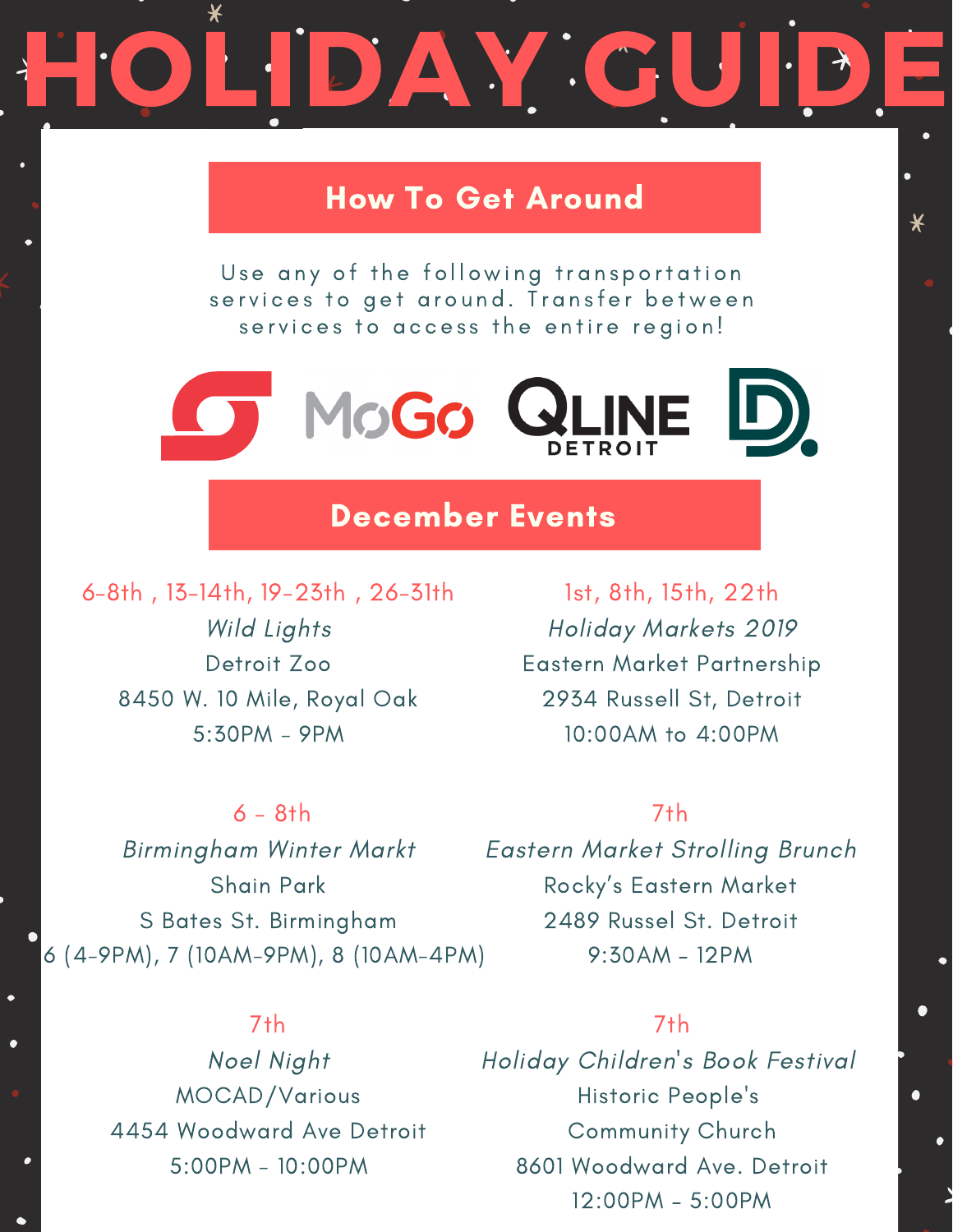# DAY GU

# How To Get Around

Use any of the following transportation services to get around. Transfer between services to access the entire region!



# December Events

6-8th , 13-14th, 19-23th , 26-31th Wild Lights Detroit Zoo 8450 W. 10 Mile, Royal Oak 5:30PM - 9PM

 $6 - 8$ th

Shain Park

S Bates St. Birmingham

Birmingham Winter Markt

1st, 8th, 15th, 22th Holiday Markets 2019 Eastern Market Partnership 2934 Russell St, Detroit 10:00AM to 4:00PM

#### 7th

Eastern Market Strolling Brunch Rocky's Eastern Market 2489 Russel St. Detroit 9:30AM – 12PM 6 (4-9PM), 7 (10AM-9PM), 8 (10AM-4PM)

# 7th

Noel Night MOCAD/Various 4454 Woodward Ave Detroit 5:00PM - 10:00PM

#### 7th

Holiday Children's Book Festival Historic People's Community Church 8601 Woodward Ave. Detroit 12:00PM – 5:00PM